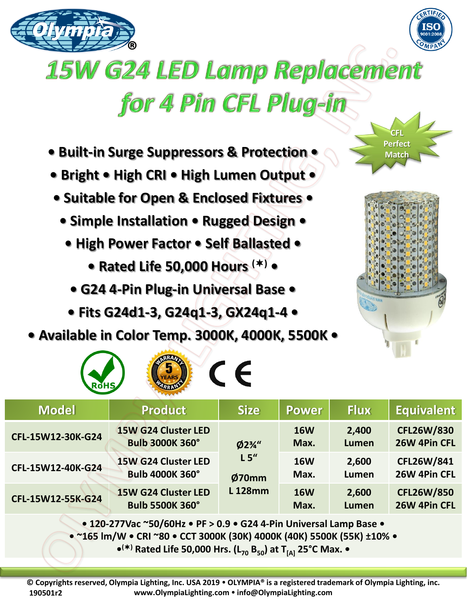



## **15W G24 LED Lamp Replacement** for 4 Pin CFL Plug-in

- **Built-in Surge Suppressors & Protection •**
- **Bright • High CRI • High Lumen Output •**
- **Suitable for Open & Enclosed Fixtures •**
	- **Simple Installation Rugged Design •**
		- **High Power Factor Self Ballasted** 
			- **Rated Life 50,000 Hours () •**
			- **G24 4-Pin Plug-in Universal Base**
		- **Fits G24d1-3, G24q1-3, GX24q1-4 •**
- **Available in Color Temp. 3000K, 4000K, 5500K •**

**ROBERANCE** 



**CFL Perfect Match** 

| <b>RoHS</b>       |                                                      |                                                     |                    |                       |                                   |
|-------------------|------------------------------------------------------|-----------------------------------------------------|--------------------|-----------------------|-----------------------------------|
| <b>Model</b>      | <b>Product</b>                                       | <b>Size</b>                                         | <b>Power</b>       | <b>Flux</b>           | <b>Equivalent</b>                 |
| CFL-15W12-30K-G24 | <b>15W G24 Cluster LED</b><br><b>Bulb 3000K 360°</b> | $Ø2\frac{3}{4}$ "<br>L5''<br>Ø70mm<br><b>L128mm</b> | <b>16W</b><br>Max. | 2,400<br><b>Lumen</b> | <b>CFL26W/830</b><br>26W 4Pin CFL |
| CFL-15W12-40K-G24 | <b>15W G24 Cluster LED</b><br><b>Bulb 4000K 360°</b> |                                                     | <b>16W</b><br>Max. | 2,600<br>Lumen        | CFL26W/841<br>26W 4Pin CFL        |
| CFL-15W12-55K-G24 | <b>15W G24 Cluster LED</b><br><b>Bulb 5500K 360°</b> |                                                     | <b>16W</b><br>Max. | 2,600<br><b>Lumen</b> | <b>CFL26W/850</b><br>26W 4Pin CFL |
|                   |                                                      |                                                     |                    |                       |                                   |

**• 120-277Vac ~50/60Hz • PF > 0.9 • G24 4-Pin Universal Lamp Base •**

**• ~165 lm/W • CRI ~80 • CCT 3000K (30K) 4000K (40K) 5500K (55K) ±10% •**

**• () Rated Life 50,000 Hrs. (L<sup>70</sup> B50) at T[A] 25°C Max. •**

**© Copyrights reserved, Olympia Lighting, Inc. USA 2019 OLYMPIA® is a registered trademark of Olympia Lighting, inc. www.OlympiaLighting.com info@OlympiaLighting.com 190501r2**